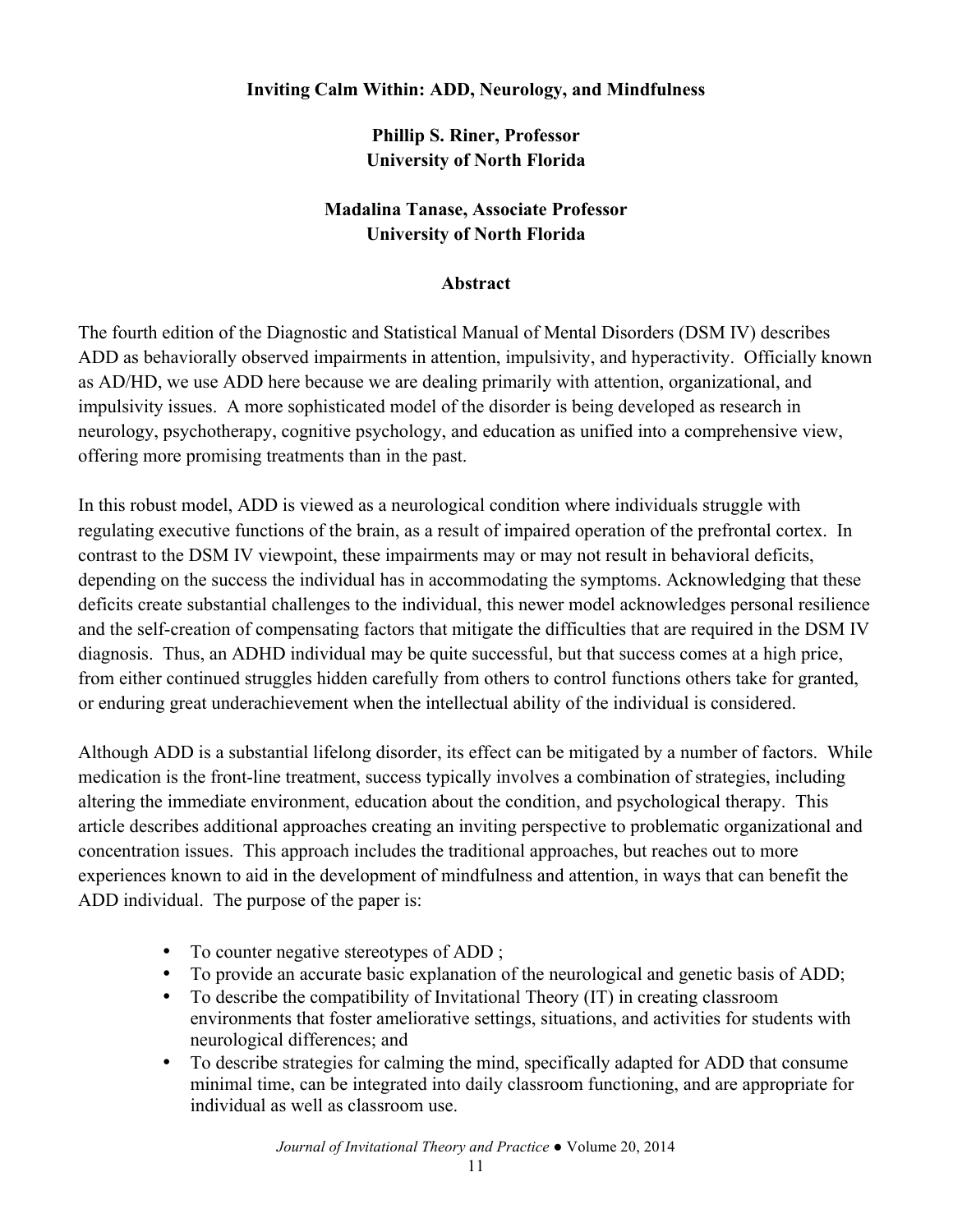### **Inviting Calm Within: ADD, Neurology, and Mindfulness**

**Phillip S. Riner, Professor University of North Florida**

### **Madalina Tanase, Associate Professor University of North Florida**

#### **Abstract**

The fourth edition of the Diagnostic and Statistical Manual of Mental Disorders (DSM IV) describes ADD as behaviorally observed impairments in attention, impulsivity, and hyperactivity. Officially known as AD/HD, we use ADD here because we are dealing primarily with attention, organizational, and impulsivity issues. A more sophisticated model of the disorder is being developed as research in neurology, psychotherapy, cognitive psychology, and education as unified into a comprehensive view, offering more promising treatments than in the past.

In this robust model, ADD is viewed as a neurological condition where individuals struggle with regulating executive functions of the brain, as a result of impaired operation of the prefrontal cortex. In contrast to the DSM IV viewpoint, these impairments may or may not result in behavioral deficits, depending on the success the individual has in accommodating the symptoms. Acknowledging that these deficits create substantial challenges to the individual, this newer model acknowledges personal resilience and the self-creation of compensating factors that mitigate the difficulties that are required in the DSM IV diagnosis. Thus, an ADHD individual may be quite successful, but that success comes at a high price, from either continued struggles hidden carefully from others to control functions others take for granted, or enduring great underachievement when the intellectual ability of the individual is considered.

Although ADD is a substantial lifelong disorder, its effect can be mitigated by a number of factors. While medication is the front-line treatment, success typically involves a combination of strategies, including altering the immediate environment, education about the condition, and psychological therapy. This article describes additional approaches creating an inviting perspective to problematic organizational and concentration issues. This approach includes the traditional approaches, but reaches out to more experiences known to aid in the development of mindfulness and attention, in ways that can benefit the ADD individual. The purpose of the paper is:

- To counter negative stereotypes of ADD ;
- To provide an accurate basic explanation of the neurological and genetic basis of ADD;
- To describe the compatibility of Invitational Theory (IT) in creating classroom environments that foster ameliorative settings, situations, and activities for students with neurological differences; and
- To describe strategies for calming the mind, specifically adapted for ADD that consume minimal time, can be integrated into daily classroom functioning, and are appropriate for individual as well as classroom use.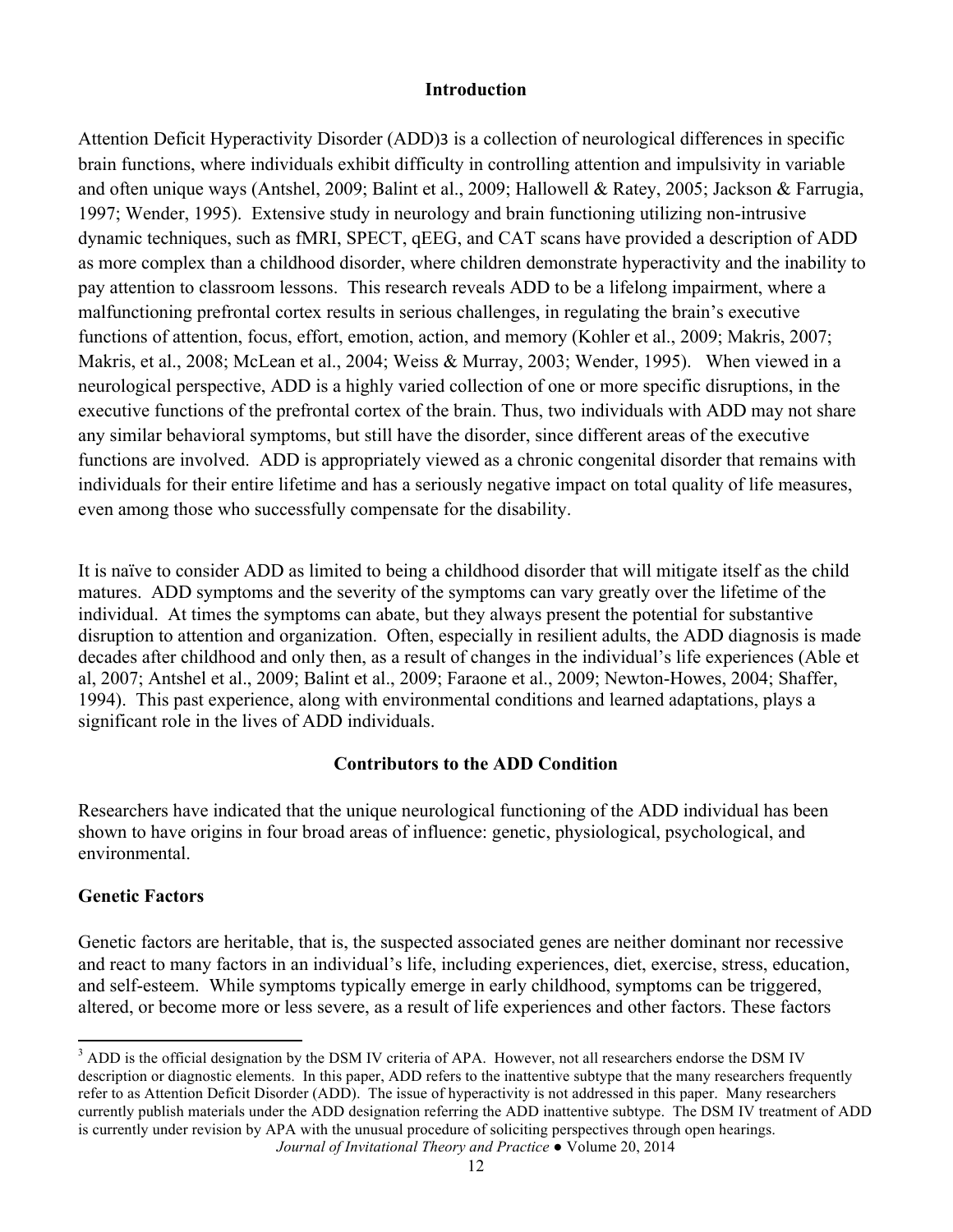### **Introduction**

Attention Deficit Hyperactivity Disorder (ADD)3 is a collection of neurological differences in specific brain functions, where individuals exhibit difficulty in controlling attention and impulsivity in variable and often unique ways (Antshel, 2009; Balint et al., 2009; Hallowell & Ratey, 2005; Jackson & Farrugia, 1997; Wender, 1995). Extensive study in neurology and brain functioning utilizing non-intrusive dynamic techniques, such as fMRI, SPECT, qEEG, and CAT scans have provided a description of ADD as more complex than a childhood disorder, where children demonstrate hyperactivity and the inability to pay attention to classroom lessons. This research reveals ADD to be a lifelong impairment, where a malfunctioning prefrontal cortex results in serious challenges, in regulating the brain's executive functions of attention, focus, effort, emotion, action, and memory (Kohler et al., 2009; Makris, 2007; Makris, et al., 2008; McLean et al., 2004; Weiss & Murray, 2003; Wender, 1995). When viewed in a neurological perspective, ADD is a highly varied collection of one or more specific disruptions, in the executive functions of the prefrontal cortex of the brain. Thus, two individuals with ADD may not share any similar behavioral symptoms, but still have the disorder, since different areas of the executive functions are involved. ADD is appropriately viewed as a chronic congenital disorder that remains with individuals for their entire lifetime and has a seriously negative impact on total quality of life measures, even among those who successfully compensate for the disability.

It is naïve to consider ADD as limited to being a childhood disorder that will mitigate itself as the child matures. ADD symptoms and the severity of the symptoms can vary greatly over the lifetime of the individual. At times the symptoms can abate, but they always present the potential for substantive disruption to attention and organization. Often, especially in resilient adults, the ADD diagnosis is made decades after childhood and only then, as a result of changes in the individual's life experiences (Able et al, 2007; Antshel et al., 2009; Balint et al., 2009; Faraone et al., 2009; Newton-Howes, 2004; Shaffer, 1994). This past experience, along with environmental conditions and learned adaptations, plays a significant role in the lives of ADD individuals.

### **Contributors to the ADD Condition**

Researchers have indicated that the unique neurological functioning of the ADD individual has been shown to have origins in four broad areas of influence: genetic, physiological, psychological, and environmental.

### **Genetic Factors**

<u> 1989 - Johann Stein, markin film yn y breninn y breninn y breninn y breninn y breninn y breninn y breninn y b</u>

Genetic factors are heritable, that is, the suspected associated genes are neither dominant nor recessive and react to many factors in an individual's life, including experiences, diet, exercise, stress, education, and self-esteem. While symptoms typically emerge in early childhood, symptoms can be triggered, altered, or become more or less severe, as a result of life experiences and other factors. These factors

*Journal of Invitational Theory and Practice ●* Volume 20, 2014 <sup>3</sup> ADD is the official designation by the DSM IV criteria of APA. However, not all researchers endorse the DSM IV description or diagnostic elements. In this paper, ADD refers to the inattentive subtype that the many researchers frequently refer to as Attention Deficit Disorder (ADD). The issue of hyperactivity is not addressed in this paper. Many researchers currently publish materials under the ADD designation referring the ADD inattentive subtype. The DSM IV treatment of ADD is currently under revision by APA with the unusual procedure of soliciting perspectives through open hearings.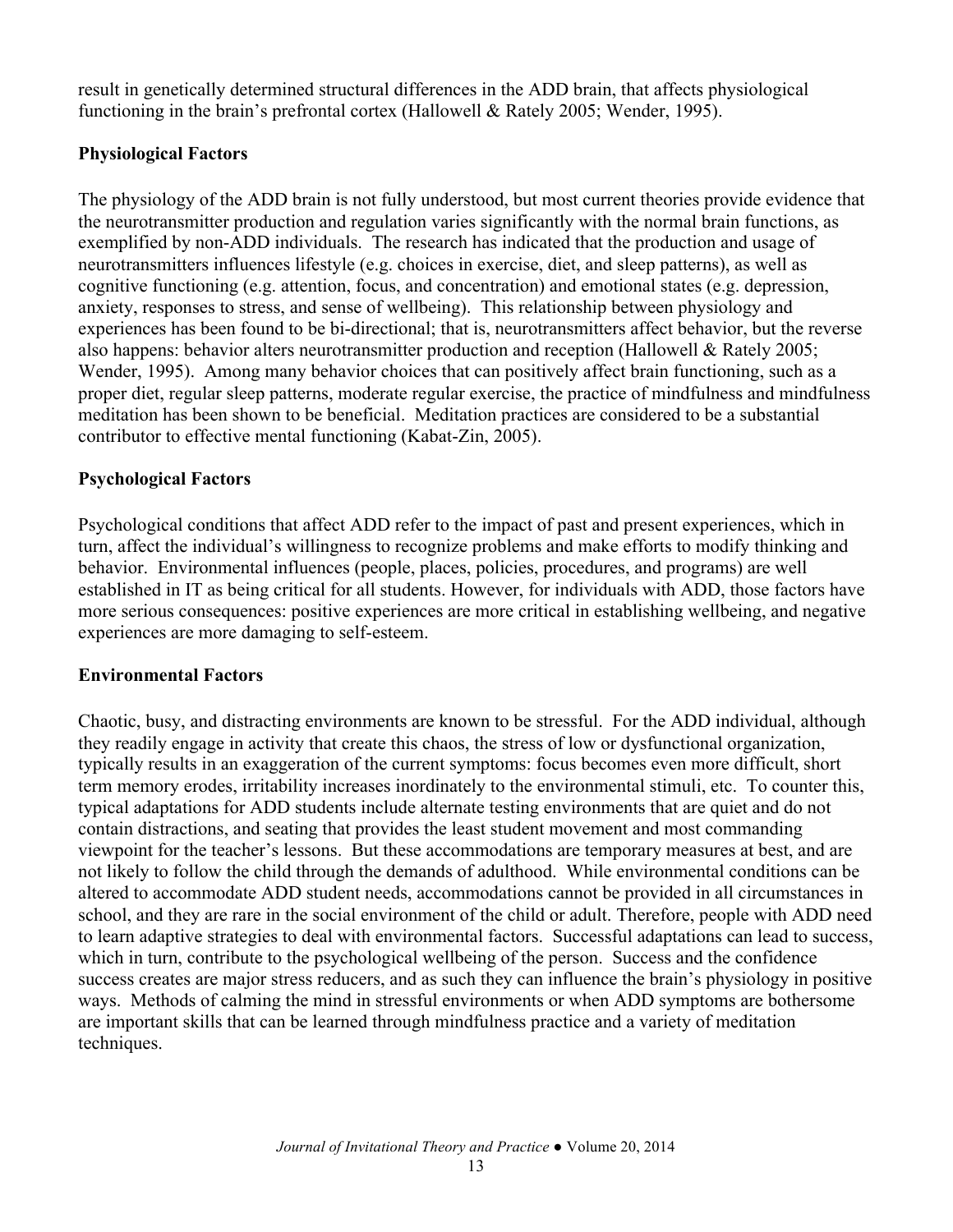result in genetically determined structural differences in the ADD brain, that affects physiological functioning in the brain's prefrontal cortex (Hallowell & Rately 2005; Wender, 1995).

## **Physiological Factors**

The physiology of the ADD brain is not fully understood, but most current theories provide evidence that the neurotransmitter production and regulation varies significantly with the normal brain functions, as exemplified by non-ADD individuals. The research has indicated that the production and usage of neurotransmitters influences lifestyle (e.g. choices in exercise, diet, and sleep patterns), as well as cognitive functioning (e.g. attention, focus, and concentration) and emotional states (e.g. depression, anxiety, responses to stress, and sense of wellbeing). This relationship between physiology and experiences has been found to be bi-directional; that is, neurotransmitters affect behavior, but the reverse also happens: behavior alters neurotransmitter production and reception (Hallowell & Rately 2005; Wender, 1995). Among many behavior choices that can positively affect brain functioning, such as a proper diet, regular sleep patterns, moderate regular exercise, the practice of mindfulness and mindfulness meditation has been shown to be beneficial. Meditation practices are considered to be a substantial contributor to effective mental functioning (Kabat-Zin, 2005).

### **Psychological Factors**

Psychological conditions that affect ADD refer to the impact of past and present experiences, which in turn, affect the individual's willingness to recognize problems and make efforts to modify thinking and behavior. Environmental influences (people, places, policies, procedures, and programs) are well established in IT as being critical for all students. However, for individuals with ADD, those factors have more serious consequences: positive experiences are more critical in establishing wellbeing, and negative experiences are more damaging to self-esteem.

### **Environmental Factors**

Chaotic, busy, and distracting environments are known to be stressful. For the ADD individual, although they readily engage in activity that create this chaos, the stress of low or dysfunctional organization, typically results in an exaggeration of the current symptoms: focus becomes even more difficult, short term memory erodes, irritability increases inordinately to the environmental stimuli, etc. To counter this, typical adaptations for ADD students include alternate testing environments that are quiet and do not contain distractions, and seating that provides the least student movement and most commanding viewpoint for the teacher's lessons. But these accommodations are temporary measures at best, and are not likely to follow the child through the demands of adulthood. While environmental conditions can be altered to accommodate ADD student needs, accommodations cannot be provided in all circumstances in school, and they are rare in the social environment of the child or adult. Therefore, people with ADD need to learn adaptive strategies to deal with environmental factors. Successful adaptations can lead to success, which in turn, contribute to the psychological wellbeing of the person. Success and the confidence success creates are major stress reducers, and as such they can influence the brain's physiology in positive ways. Methods of calming the mind in stressful environments or when ADD symptoms are bothersome are important skills that can be learned through mindfulness practice and a variety of meditation techniques.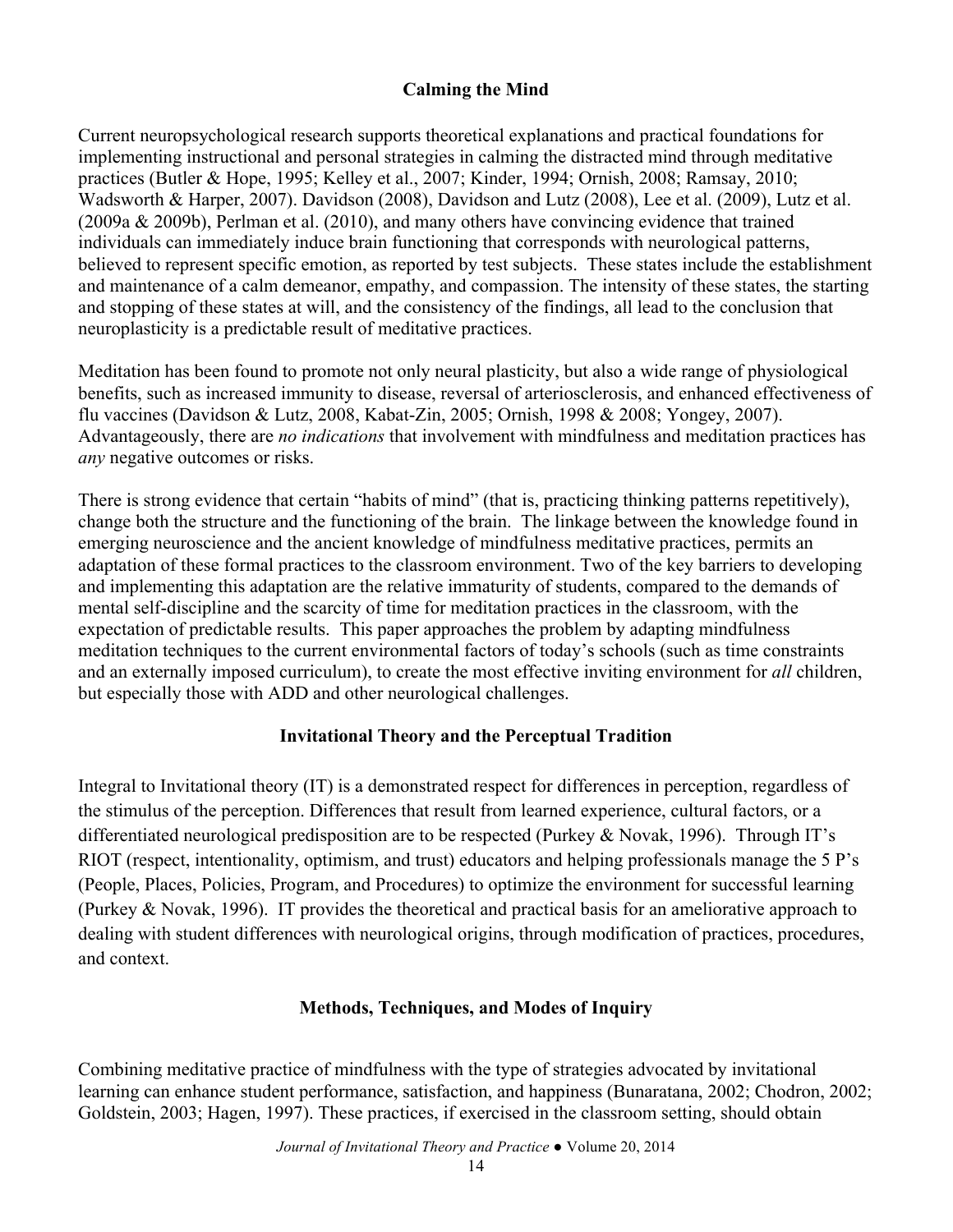### **Calming the Mind**

Current neuropsychological research supports theoretical explanations and practical foundations for implementing instructional and personal strategies in calming the distracted mind through meditative practices (Butler & Hope, 1995; Kelley et al., 2007; Kinder, 1994; Ornish, 2008; Ramsay, 2010; Wadsworth & Harper, 2007). Davidson (2008), Davidson and Lutz (2008), Lee et al. (2009), Lutz et al. (2009a & 2009b), Perlman et al. (2010), and many others have convincing evidence that trained individuals can immediately induce brain functioning that corresponds with neurological patterns, believed to represent specific emotion, as reported by test subjects. These states include the establishment and maintenance of a calm demeanor, empathy, and compassion. The intensity of these states, the starting and stopping of these states at will, and the consistency of the findings, all lead to the conclusion that neuroplasticity is a predictable result of meditative practices.

Meditation has been found to promote not only neural plasticity, but also a wide range of physiological benefits, such as increased immunity to disease, reversal of arteriosclerosis, and enhanced effectiveness of flu vaccines (Davidson & Lutz, 2008, Kabat-Zin, 2005; Ornish, 1998 & 2008; Yongey, 2007). Advantageously, there are *no indications* that involvement with mindfulness and meditation practices has *any* negative outcomes or risks.

There is strong evidence that certain "habits of mind" (that is, practicing thinking patterns repetitively), change both the structure and the functioning of the brain. The linkage between the knowledge found in emerging neuroscience and the ancient knowledge of mindfulness meditative practices, permits an adaptation of these formal practices to the classroom environment. Two of the key barriers to developing and implementing this adaptation are the relative immaturity of students, compared to the demands of mental self-discipline and the scarcity of time for meditation practices in the classroom, with the expectation of predictable results. This paper approaches the problem by adapting mindfulness meditation techniques to the current environmental factors of today's schools (such as time constraints and an externally imposed curriculum), to create the most effective inviting environment for *all* children, but especially those with ADD and other neurological challenges.

### **Invitational Theory and the Perceptual Tradition**

Integral to Invitational theory (IT) is a demonstrated respect for differences in perception, regardless of the stimulus of the perception. Differences that result from learned experience, cultural factors, or a differentiated neurological predisposition are to be respected (Purkey & Novak, 1996). Through IT's RIOT (respect, intentionality, optimism, and trust) educators and helping professionals manage the 5 P's (People, Places, Policies, Program, and Procedures) to optimize the environment for successful learning (Purkey & Novak, 1996). IT provides the theoretical and practical basis for an ameliorative approach to dealing with student differences with neurological origins, through modification of practices, procedures, and context.

### **Methods, Techniques, and Modes of Inquiry**

Combining meditative practice of mindfulness with the type of strategies advocated by invitational learning can enhance student performance, satisfaction, and happiness (Bunaratana, 2002; Chodron, 2002; Goldstein, 2003; Hagen, 1997). These practices, if exercised in the classroom setting, should obtain

*Journal of Invitational Theory and Practice ●* Volume 20, 2014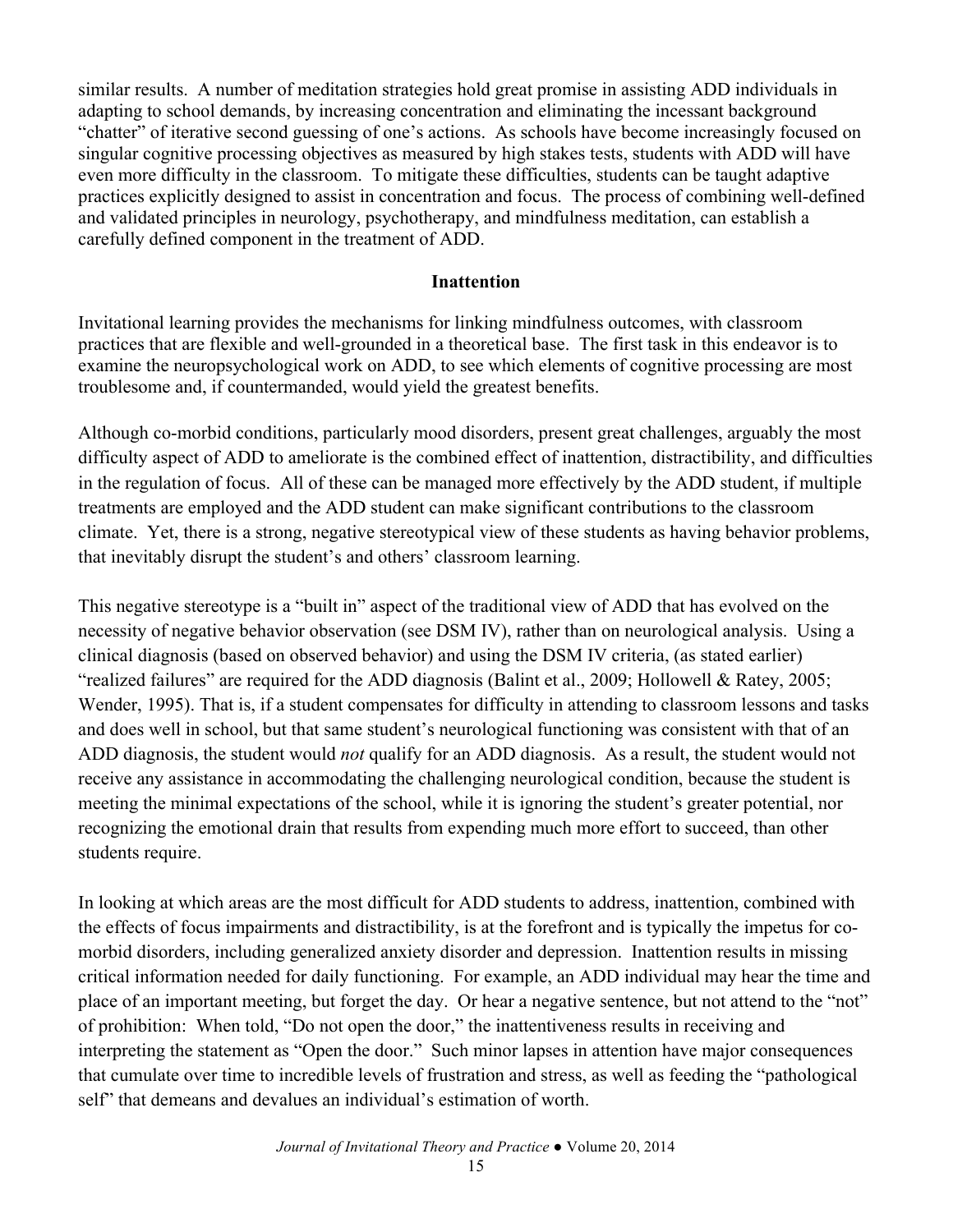similar results. A number of meditation strategies hold great promise in assisting ADD individuals in adapting to school demands, by increasing concentration and eliminating the incessant background "chatter" of iterative second guessing of one's actions. As schools have become increasingly focused on singular cognitive processing objectives as measured by high stakes tests, students with ADD will have even more difficulty in the classroom. To mitigate these difficulties, students can be taught adaptive practices explicitly designed to assist in concentration and focus. The process of combining well-defined and validated principles in neurology, psychotherapy, and mindfulness meditation, can establish a carefully defined component in the treatment of ADD.

#### **Inattention**

Invitational learning provides the mechanisms for linking mindfulness outcomes, with classroom practices that are flexible and well-grounded in a theoretical base. The first task in this endeavor is to examine the neuropsychological work on ADD, to see which elements of cognitive processing are most troublesome and, if countermanded, would yield the greatest benefits.

Although co-morbid conditions, particularly mood disorders, present great challenges, arguably the most difficulty aspect of ADD to ameliorate is the combined effect of inattention, distractibility, and difficulties in the regulation of focus. All of these can be managed more effectively by the ADD student, if multiple treatments are employed and the ADD student can make significant contributions to the classroom climate. Yet, there is a strong, negative stereotypical view of these students as having behavior problems, that inevitably disrupt the student's and others' classroom learning.

This negative stereotype is a "built in" aspect of the traditional view of ADD that has evolved on the necessity of negative behavior observation (see DSM IV), rather than on neurological analysis. Using a clinical diagnosis (based on observed behavior) and using the DSM IV criteria, (as stated earlier) "realized failures" are required for the ADD diagnosis (Balint et al., 2009; Hollowell & Ratey, 2005; Wender, 1995). That is, if a student compensates for difficulty in attending to classroom lessons and tasks and does well in school, but that same student's neurological functioning was consistent with that of an ADD diagnosis, the student would *not* qualify for an ADD diagnosis. As a result, the student would not receive any assistance in accommodating the challenging neurological condition, because the student is meeting the minimal expectations of the school, while it is ignoring the student's greater potential, nor recognizing the emotional drain that results from expending much more effort to succeed, than other students require.

In looking at which areas are the most difficult for ADD students to address, inattention, combined with the effects of focus impairments and distractibility, is at the forefront and is typically the impetus for comorbid disorders, including generalized anxiety disorder and depression. Inattention results in missing critical information needed for daily functioning. For example, an ADD individual may hear the time and place of an important meeting, but forget the day. Or hear a negative sentence, but not attend to the "not" of prohibition: When told, "Do not open the door," the inattentiveness results in receiving and interpreting the statement as "Open the door." Such minor lapses in attention have major consequences that cumulate over time to incredible levels of frustration and stress, as well as feeding the "pathological self" that demeans and devalues an individual's estimation of worth.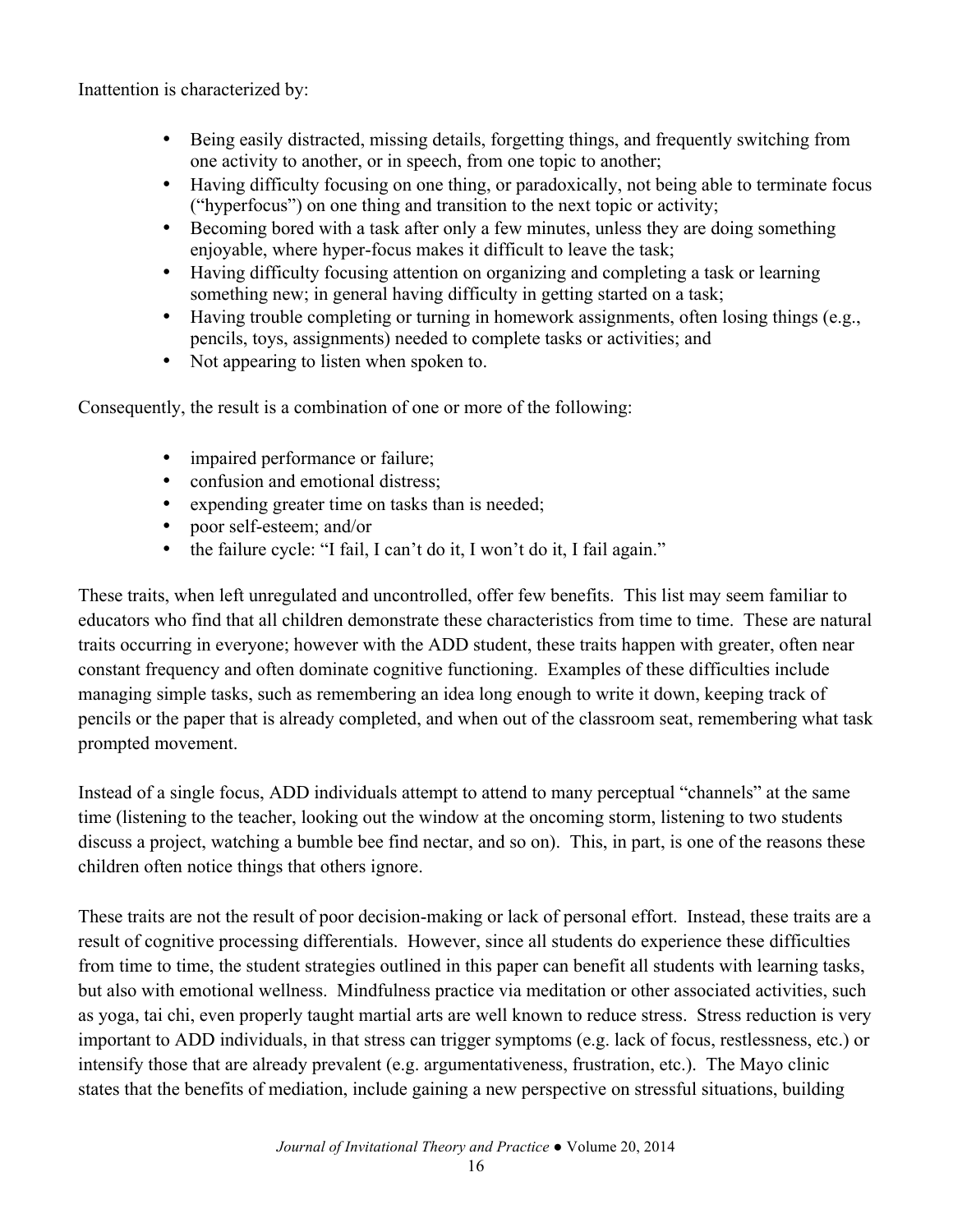Inattention is characterized by:

- Being easily distracted, missing details, forgetting things, and frequently switching from one activity to another, or in speech, from one topic to another;
- Having difficulty focusing on one thing, or paradoxically, not being able to terminate focus ("hyperfocus") on one thing and transition to the next topic or activity;
- Becoming bored with a task after only a few minutes, unless they are doing something enjoyable, where hyper-focus makes it difficult to leave the task;
- Having difficulty focusing attention on organizing and completing a task or learning something new; in general having difficulty in getting started on a task;
- Having trouble completing or turning in homework assignments, often losing things (e.g., pencils, toys, assignments) needed to complete tasks or activities; and
- Not appearing to listen when spoken to.

Consequently, the result is a combination of one or more of the following:

- impaired performance or failure;
- confusion and emotional distress;
- expending greater time on tasks than is needed;
- poor self-esteem; and/or
- the failure cycle: "I fail, I can't do it, I won't do it, I fail again."

These traits, when left unregulated and uncontrolled, offer few benefits. This list may seem familiar to educators who find that all children demonstrate these characteristics from time to time. These are natural traits occurring in everyone; however with the ADD student, these traits happen with greater, often near constant frequency and often dominate cognitive functioning. Examples of these difficulties include managing simple tasks, such as remembering an idea long enough to write it down, keeping track of pencils or the paper that is already completed, and when out of the classroom seat, remembering what task prompted movement.

Instead of a single focus, ADD individuals attempt to attend to many perceptual "channels" at the same time (listening to the teacher, looking out the window at the oncoming storm, listening to two students discuss a project, watching a bumble bee find nectar, and so on). This, in part, is one of the reasons these children often notice things that others ignore.

These traits are not the result of poor decision-making or lack of personal effort. Instead, these traits are a result of cognitive processing differentials. However, since all students do experience these difficulties from time to time, the student strategies outlined in this paper can benefit all students with learning tasks, but also with emotional wellness. Mindfulness practice via meditation or other associated activities, such as yoga, tai chi, even properly taught martial arts are well known to reduce stress. Stress reduction is very important to ADD individuals, in that stress can trigger symptoms (e.g. lack of focus, restlessness, etc.) or intensify those that are already prevalent (e.g. argumentativeness, frustration, etc.). The Mayo clinic states that the benefits of mediation, include gaining a new perspective on stressful situations, building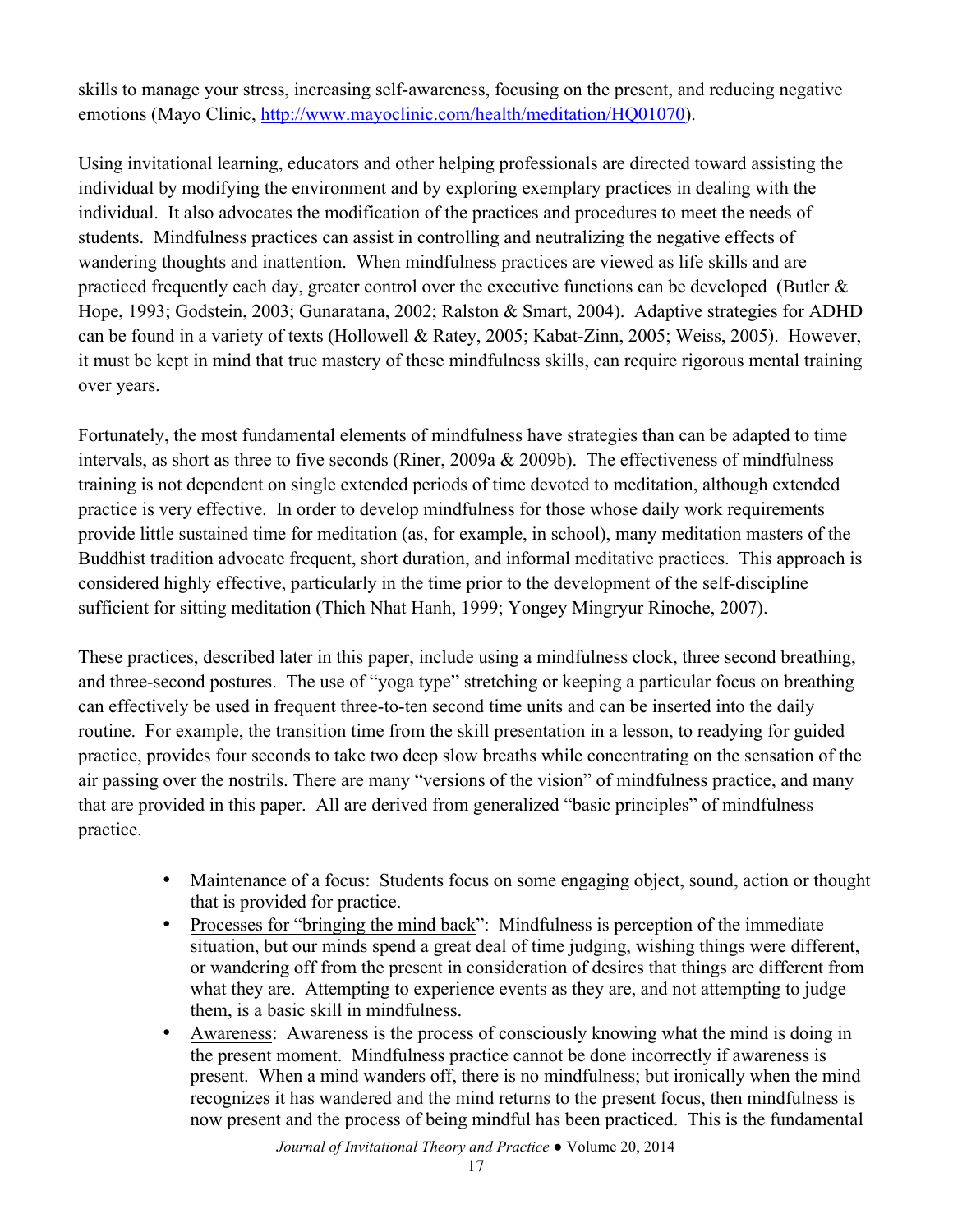skills to manage your stress, increasing self-awareness, focusing on the present, and reducing negative emotions (Mayo Clinic, http://www.mayoclinic.com/health/meditation/HQ01070).

Using invitational learning, educators and other helping professionals are directed toward assisting the individual by modifying the environment and by exploring exemplary practices in dealing with the individual. It also advocates the modification of the practices and procedures to meet the needs of students. Mindfulness practices can assist in controlling and neutralizing the negative effects of wandering thoughts and inattention. When mindfulness practices are viewed as life skills and are practiced frequently each day, greater control over the executive functions can be developed (Butler  $\&$ Hope, 1993; Godstein, 2003; Gunaratana, 2002; Ralston & Smart, 2004). Adaptive strategies for ADHD can be found in a variety of texts (Hollowell & Ratey, 2005; Kabat-Zinn, 2005; Weiss, 2005). However, it must be kept in mind that true mastery of these mindfulness skills, can require rigorous mental training over years.

Fortunately, the most fundamental elements of mindfulness have strategies than can be adapted to time intervals, as short as three to five seconds (Riner, 2009a & 2009b). The effectiveness of mindfulness training is not dependent on single extended periods of time devoted to meditation, although extended practice is very effective. In order to develop mindfulness for those whose daily work requirements provide little sustained time for meditation (as, for example, in school), many meditation masters of the Buddhist tradition advocate frequent, short duration, and informal meditative practices. This approach is considered highly effective, particularly in the time prior to the development of the self-discipline sufficient for sitting meditation (Thich Nhat Hanh, 1999; Yongey Mingryur Rinoche, 2007).

These practices, described later in this paper, include using a mindfulness clock, three second breathing, and three-second postures. The use of "yoga type" stretching or keeping a particular focus on breathing can effectively be used in frequent three-to-ten second time units and can be inserted into the daily routine. For example, the transition time from the skill presentation in a lesson, to readying for guided practice, provides four seconds to take two deep slow breaths while concentrating on the sensation of the air passing over the nostrils. There are many "versions of the vision" of mindfulness practice, and many that are provided in this paper. All are derived from generalized "basic principles" of mindfulness practice.

- Maintenance of a focus: Students focus on some engaging object, sound, action or thought that is provided for practice.
- Processes for "bringing the mind back": Mindfulness is perception of the immediate situation, but our minds spend a great deal of time judging, wishing things were different, or wandering off from the present in consideration of desires that things are different from what they are. Attempting to experience events as they are, and not attempting to judge them, is a basic skill in mindfulness.
- Awareness: Awareness is the process of consciously knowing what the mind is doing in the present moment. Mindfulness practice cannot be done incorrectly if awareness is present. When a mind wanders off, there is no mindfulness; but ironically when the mind recognizes it has wandered and the mind returns to the present focus, then mindfulness is now present and the process of being mindful has been practiced. This is the fundamental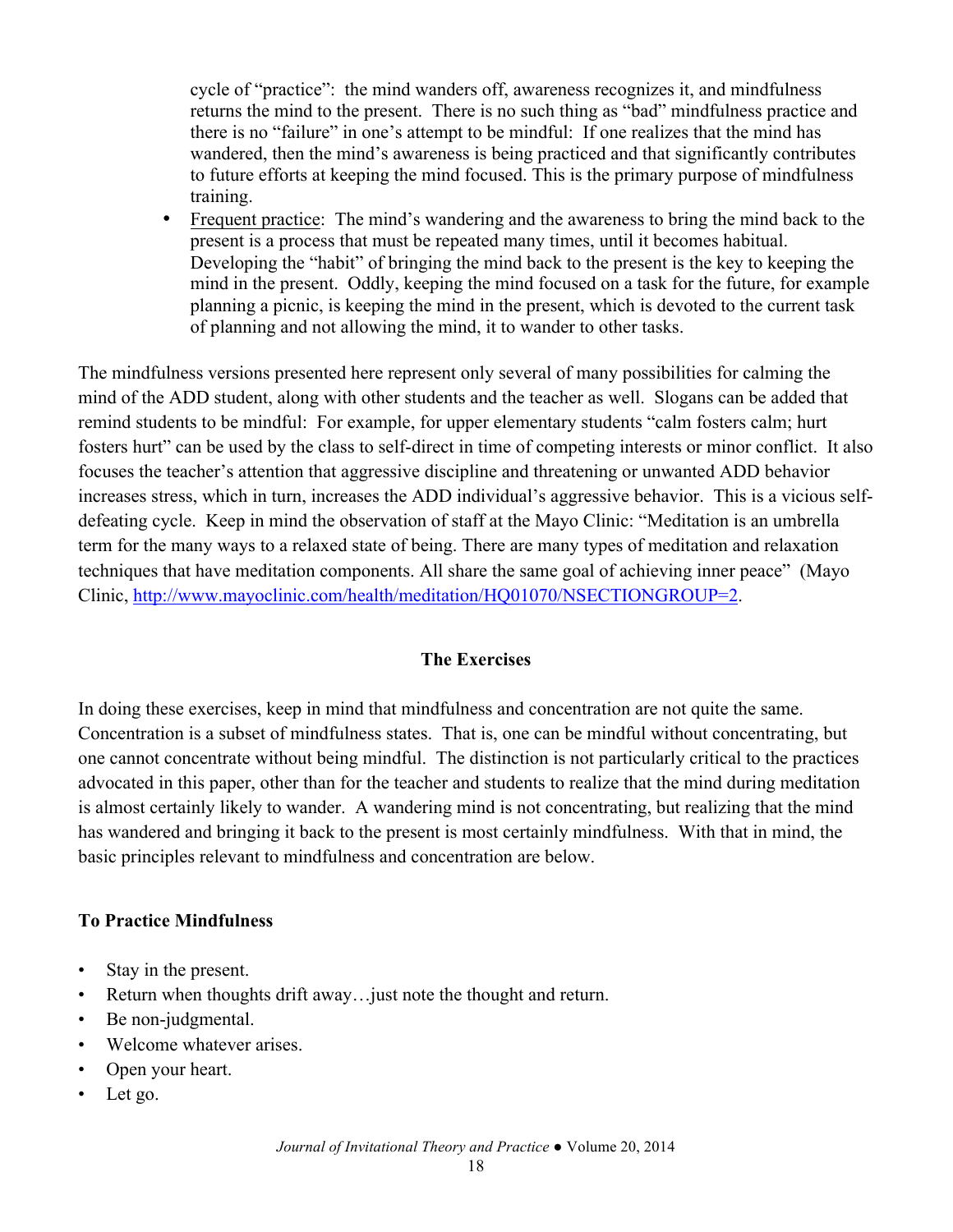cycle of "practice": the mind wanders off, awareness recognizes it, and mindfulness returns the mind to the present. There is no such thing as "bad" mindfulness practice and there is no "failure" in one's attempt to be mindful: If one realizes that the mind has wandered, then the mind's awareness is being practiced and that significantly contributes to future efforts at keeping the mind focused. This is the primary purpose of mindfulness training.

• Frequent practice: The mind's wandering and the awareness to bring the mind back to the present is a process that must be repeated many times, until it becomes habitual. Developing the "habit" of bringing the mind back to the present is the key to keeping the mind in the present. Oddly, keeping the mind focused on a task for the future, for example planning a picnic, is keeping the mind in the present, which is devoted to the current task of planning and not allowing the mind, it to wander to other tasks.

The mindfulness versions presented here represent only several of many possibilities for calming the mind of the ADD student, along with other students and the teacher as well. Slogans can be added that remind students to be mindful: For example, for upper elementary students "calm fosters calm; hurt fosters hurt" can be used by the class to self-direct in time of competing interests or minor conflict. It also focuses the teacher's attention that aggressive discipline and threatening or unwanted ADD behavior increases stress, which in turn, increases the ADD individual's aggressive behavior. This is a vicious selfdefeating cycle. Keep in mind the observation of staff at the Mayo Clinic: "Meditation is an umbrella term for the many ways to a relaxed state of being. There are many types of meditation and relaxation techniques that have meditation components. All share the same goal of achieving inner peace" (Mayo Clinic, http://www.mayoclinic.com/health/meditation/HQ01070/NSECTIONGROUP=2.

## **The Exercises**

In doing these exercises, keep in mind that mindfulness and concentration are not quite the same. Concentration is a subset of mindfulness states. That is, one can be mindful without concentrating, but one cannot concentrate without being mindful. The distinction is not particularly critical to the practices advocated in this paper, other than for the teacher and students to realize that the mind during meditation is almost certainly likely to wander. A wandering mind is not concentrating, but realizing that the mind has wandered and bringing it back to the present is most certainly mindfulness. With that in mind, the basic principles relevant to mindfulness and concentration are below.

### **To Practice Mindfulness**

- Stay in the present.
- Return when thoughts drift away... just note the thought and return.
- Be non-judgmental.
- Welcome whatever arises.
- Open your heart.
- Let go.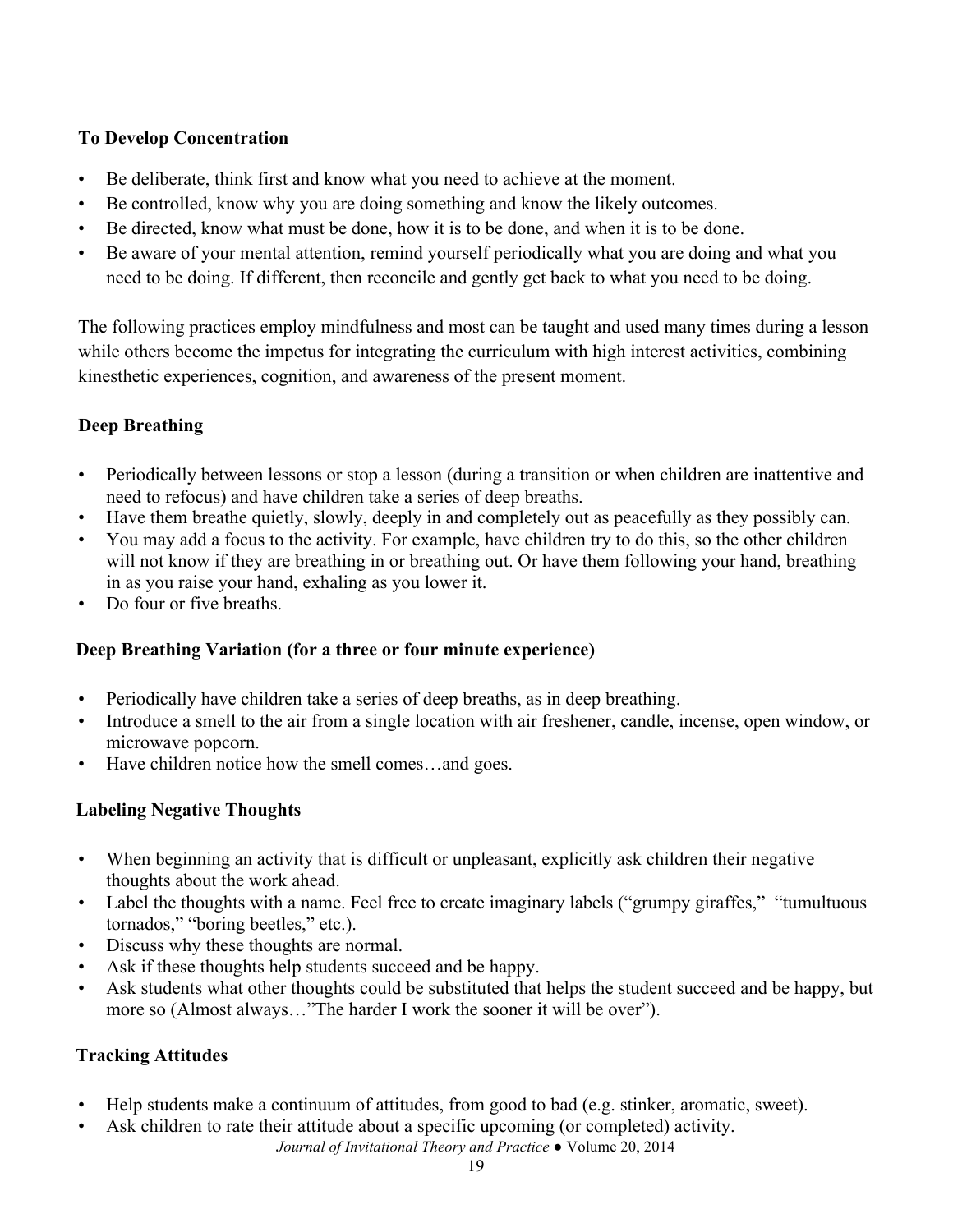## **To Develop Concentration**

- Be deliberate, think first and know what you need to achieve at the moment.
- Be controlled, know why you are doing something and know the likely outcomes.
- Be directed, know what must be done, how it is to be done, and when it is to be done.
- Be aware of your mental attention, remind yourself periodically what you are doing and what you need to be doing. If different, then reconcile and gently get back to what you need to be doing.

The following practices employ mindfulness and most can be taught and used many times during a lesson while others become the impetus for integrating the curriculum with high interest activities, combining kinesthetic experiences, cognition, and awareness of the present moment.

# **Deep Breathing**

- Periodically between lessons or stop a lesson (during a transition or when children are inattentive and need to refocus) and have children take a series of deep breaths.
- Have them breathe quietly, slowly, deeply in and completely out as peacefully as they possibly can.
- You may add a focus to the activity. For example, have children try to do this, so the other children will not know if they are breathing in or breathing out. Or have them following your hand, breathing in as you raise your hand, exhaling as you lower it.
- Do four or five breaths.

# **Deep Breathing Variation (for a three or four minute experience)**

- Periodically have children take a series of deep breaths, as in deep breathing.
- Introduce a smell to the air from a single location with air freshener, candle, incense, open window, or microwave popcorn.
- Have children notice how the smell comes…and goes.

## **Labeling Negative Thoughts**

- When beginning an activity that is difficult or unpleasant, explicitly ask children their negative thoughts about the work ahead.
- Label the thoughts with a name. Feel free to create imaginary labels ("grumpy giraffes," "tumultuous") tornados," "boring beetles," etc.).
- Discuss why these thoughts are normal.
- Ask if these thoughts help students succeed and be happy.
- Ask students what other thoughts could be substituted that helps the student succeed and be happy, but more so (Almost always…"The harder I work the sooner it will be over").

# **Tracking Attitudes**

- Help students make a continuum of attitudes, from good to bad (e.g. stinker, aromatic, sweet).
- *Journal of Invitational Theory and Practice ●* Volume 20, 2014 • Ask children to rate their attitude about a specific upcoming (or completed) activity.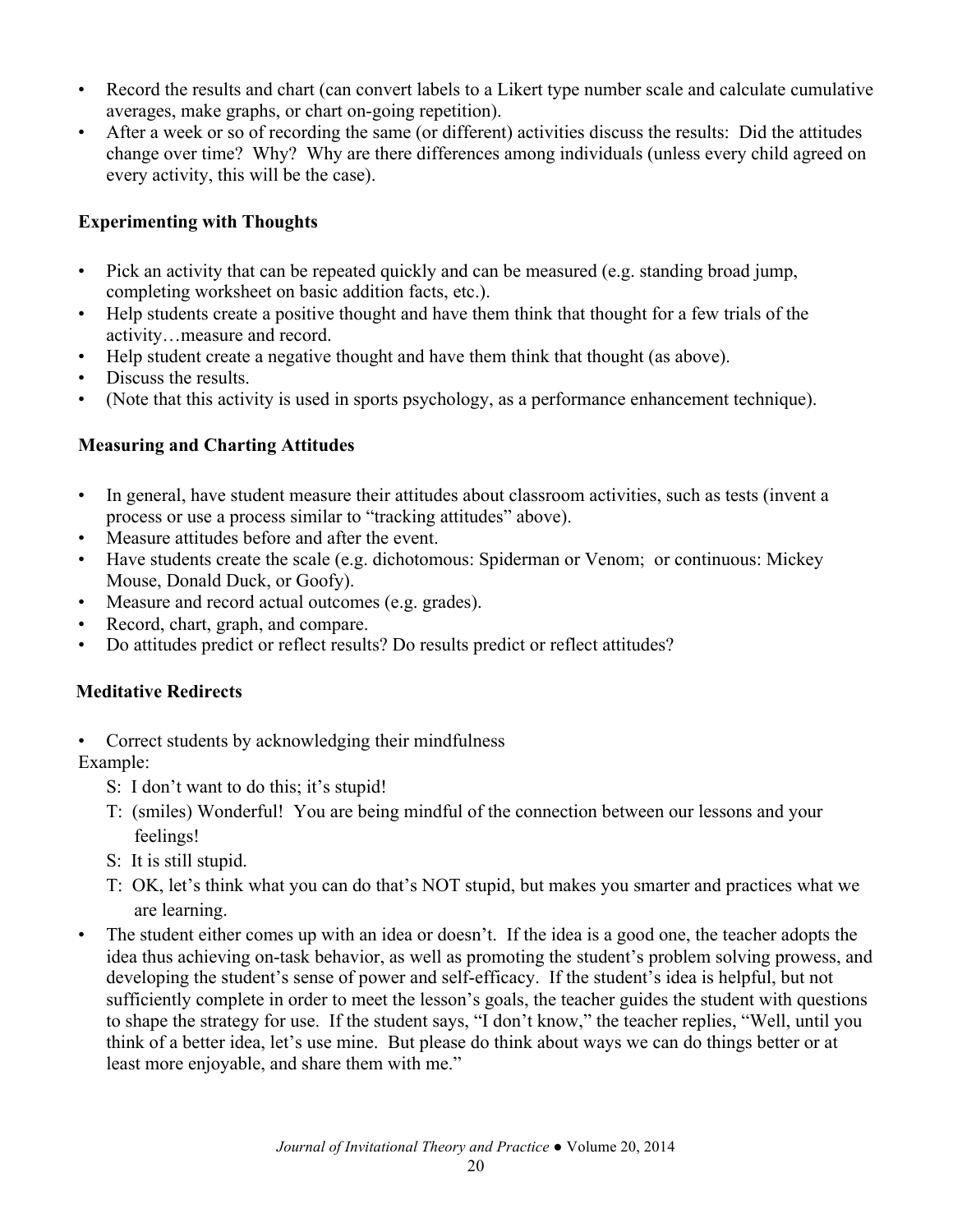- Record the results and chart (can convert labels to a Likert type number scale and calculate cumulative averages, make graphs, or chart on-going repetition).
- After a week or so of recording the same (or different) activities discuss the results: Did the attitudes change over time? Why? Why are there differences among individuals (unless every child agreed on every activity, this will be the case).

## **Experimenting with Thoughts**

- Pick an activity that can be repeated quickly and can be measured (e.g. standing broad jump, completing worksheet on basic addition facts, etc.).
- Help students create a positive thought and have them think that thought for a few trials of the activity…measure and record.
- Help student create a negative thought and have them think that thought (as above).
- Discuss the results.
- (Note that this activity is used in sports psychology, as a performance enhancement technique).

# **Measuring and Charting Attitudes**

- In general, have student measure their attitudes about classroom activities, such as tests (invent a process or use a process similar to "tracking attitudes" above).
- Measure attitudes before and after the event.
- Have students create the scale (e.g. dichotomous: Spiderman or Venom; or continuous: Mickey Mouse, Donald Duck, or Goofy).
- Measure and record actual outcomes (e.g. grades).
- Record, chart, graph, and compare.
- Do attitudes predict or reflect results? Do results predict or reflect attitudes?

# **Meditative Redirects**

- Correct students by acknowledging their mindfulness Example:
	- S: I don't want to do this; it's stupid!
	- T: (smiles) Wonderful! You are being mindful of the connection between our lessons and your feelings!
	- S: It is still stupid.
	- T: OK, let's think what you can do that's NOT stupid, but makes you smarter and practices what we are learning.
- The student either comes up with an idea or doesn't. If the idea is a good one, the teacher adopts the idea thus achieving on-task behavior, as well as promoting the student's problem solving prowess, and developing the student's sense of power and self-efficacy. If the student's idea is helpful, but not sufficiently complete in order to meet the lesson's goals, the teacher guides the student with questions to shape the strategy for use. If the student says, "I don't know," the teacher replies, "Well, until you think of a better idea, let's use mine. But please do think about ways we can do things better or at least more enjoyable, and share them with me."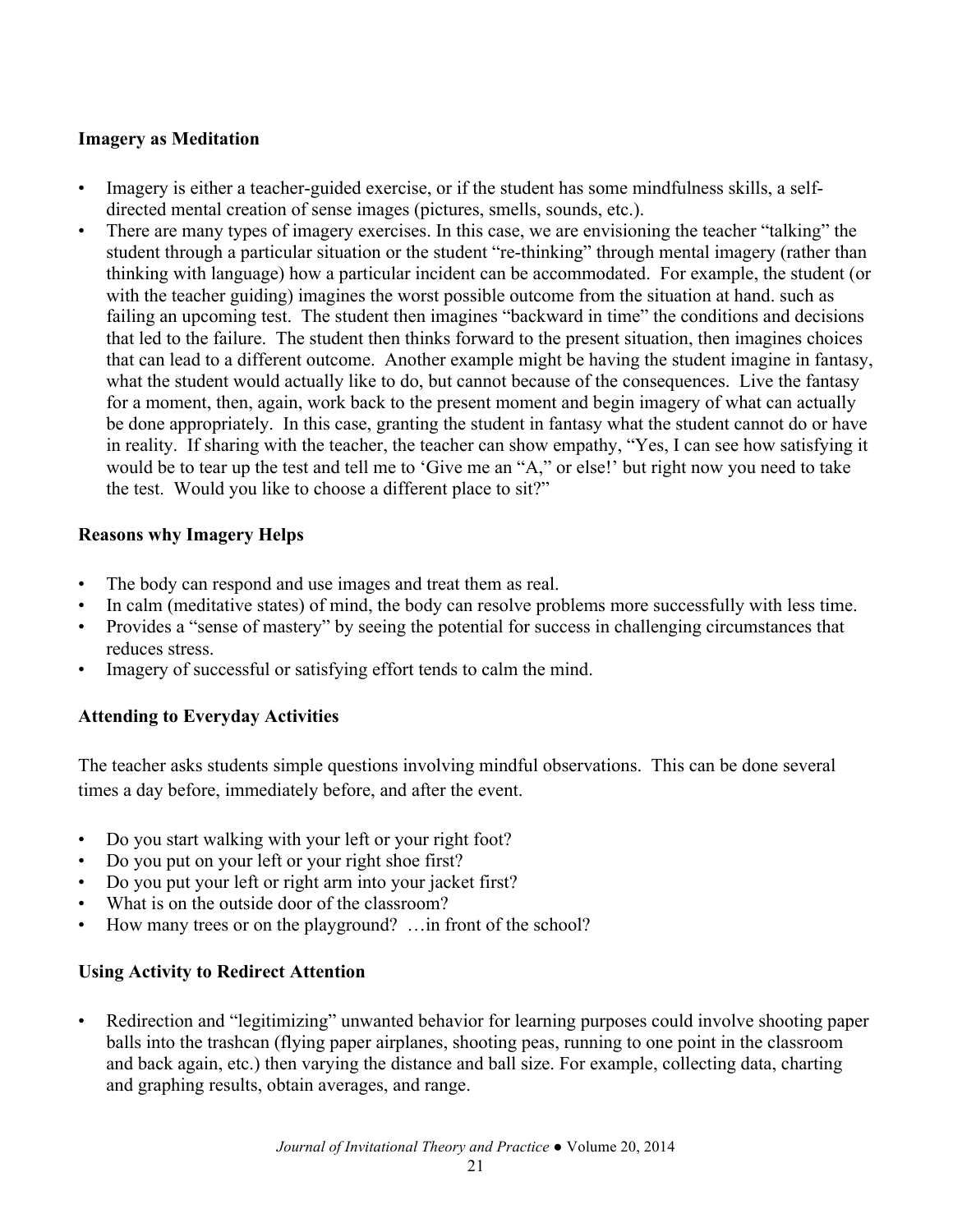### **Imagery as Meditation**

- Imagery is either a teacher-guided exercise, or if the student has some mindfulness skills, a selfdirected mental creation of sense images (pictures, smells, sounds, etc.).
- There are many types of imagery exercises. In this case, we are envisioning the teacher "talking" the student through a particular situation or the student "re-thinking" through mental imagery (rather than thinking with language) how a particular incident can be accommodated. For example, the student (or with the teacher guiding) imagines the worst possible outcome from the situation at hand. such as failing an upcoming test. The student then imagines "backward in time" the conditions and decisions that led to the failure. The student then thinks forward to the present situation, then imagines choices that can lead to a different outcome. Another example might be having the student imagine in fantasy, what the student would actually like to do, but cannot because of the consequences. Live the fantasy for a moment, then, again, work back to the present moment and begin imagery of what can actually be done appropriately. In this case, granting the student in fantasy what the student cannot do or have in reality. If sharing with the teacher, the teacher can show empathy, "Yes, I can see how satisfying it would be to tear up the test and tell me to 'Give me an "A," or else!' but right now you need to take the test. Would you like to choose a different place to sit?"

### **Reasons why Imagery Helps**

- The body can respond and use images and treat them as real.
- In calm (meditative states) of mind, the body can resolve problems more successfully with less time.
- Provides a "sense of mastery" by seeing the potential for success in challenging circumstances that reduces stress.
- Imagery of successful or satisfying effort tends to calm the mind.

## **Attending to Everyday Activities**

The teacher asks students simple questions involving mindful observations. This can be done several times a day before, immediately before, and after the event.

- Do you start walking with your left or your right foot?
- Do you put on your left or your right shoe first?
- Do you put your left or right arm into your jacket first?
- What is on the outside door of the classroom?
- How many trees or on the playground? ... in front of the school?

## **Using Activity to Redirect Attention**

• Redirection and "legitimizing" unwanted behavior for learning purposes could involve shooting paper balls into the trashcan (flying paper airplanes, shooting peas, running to one point in the classroom and back again, etc.) then varying the distance and ball size. For example, collecting data, charting and graphing results, obtain averages, and range.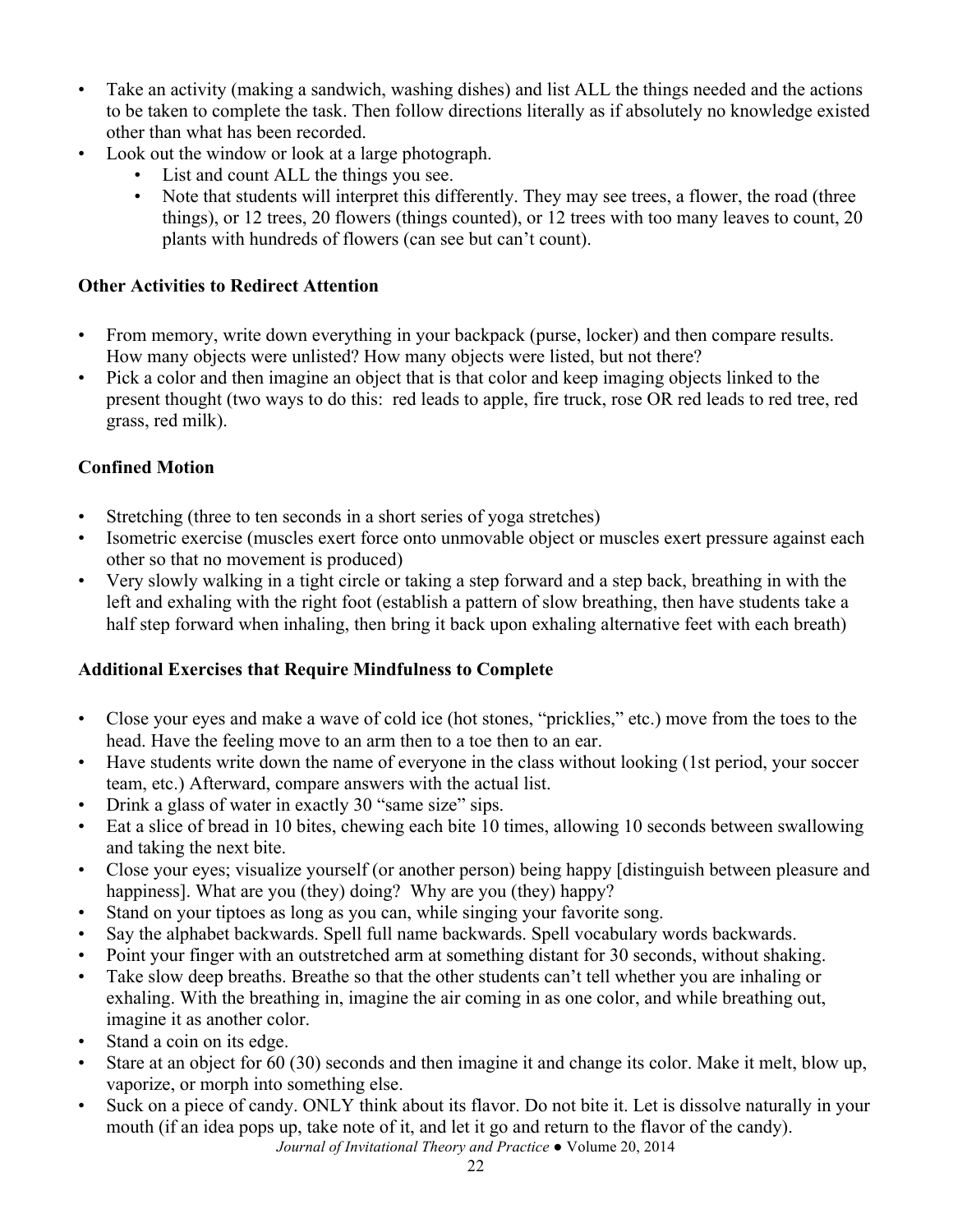- Take an activity (making a sandwich, washing dishes) and list ALL the things needed and the actions to be taken to complete the task. Then follow directions literally as if absolutely no knowledge existed other than what has been recorded.
- Look out the window or look at a large photograph.
	- List and count ALL the things you see.
	- Note that students will interpret this differently. They may see trees, a flower, the road (three things), or 12 trees, 20 flowers (things counted), or 12 trees with too many leaves to count, 20 plants with hundreds of flowers (can see but can't count).

## **Other Activities to Redirect Attention**

- From memory, write down everything in your backpack (purse, locker) and then compare results. How many objects were unlisted? How many objects were listed, but not there?
- Pick a color and then imagine an object that is that color and keep imaging objects linked to the present thought (two ways to do this: red leads to apple, fire truck, rose OR red leads to red tree, red grass, red milk).

# **Confined Motion**

- Stretching (three to ten seconds in a short series of yoga stretches)
- Isometric exercise (muscles exert force onto unmovable object or muscles exert pressure against each other so that no movement is produced)
- Very slowly walking in a tight circle or taking a step forward and a step back, breathing in with the left and exhaling with the right foot (establish a pattern of slow breathing, then have students take a half step forward when inhaling, then bring it back upon exhaling alternative feet with each breath)

# **Additional Exercises that Require Mindfulness to Complete**

- Close your eyes and make a wave of cold ice (hot stones, "pricklies," etc.) move from the toes to the head. Have the feeling move to an arm then to a toe then to an ear.
- Have students write down the name of everyone in the class without looking (1st period, your soccer team, etc.) Afterward, compare answers with the actual list.
- Drink a glass of water in exactly 30 "same size" sips.
- Eat a slice of bread in 10 bites, chewing each bite 10 times, allowing 10 seconds between swallowing and taking the next bite.
- Close your eyes; visualize yourself (or another person) being happy [distinguish between pleasure and happiness]. What are you (they) doing? Why are you (they) happy?
- Stand on your tiptoes as long as you can, while singing your favorite song.
- Say the alphabet backwards. Spell full name backwards. Spell vocabulary words backwards.
- Point your finger with an outstretched arm at something distant for 30 seconds, without shaking.
- Take slow deep breaths. Breathe so that the other students can't tell whether you are inhaling or exhaling. With the breathing in, imagine the air coming in as one color, and while breathing out, imagine it as another color.
- Stand a coin on its edge.
- Stare at an object for 60 (30) seconds and then imagine it and change its color. Make it melt, blow up, vaporize, or morph into something else.
- *Journal of Invitational Theory and Practice ●* Volume 20, 2014 • Suck on a piece of candy. ONLY think about its flavor. Do not bite it. Let is dissolve naturally in your mouth (if an idea pops up, take note of it, and let it go and return to the flavor of the candy).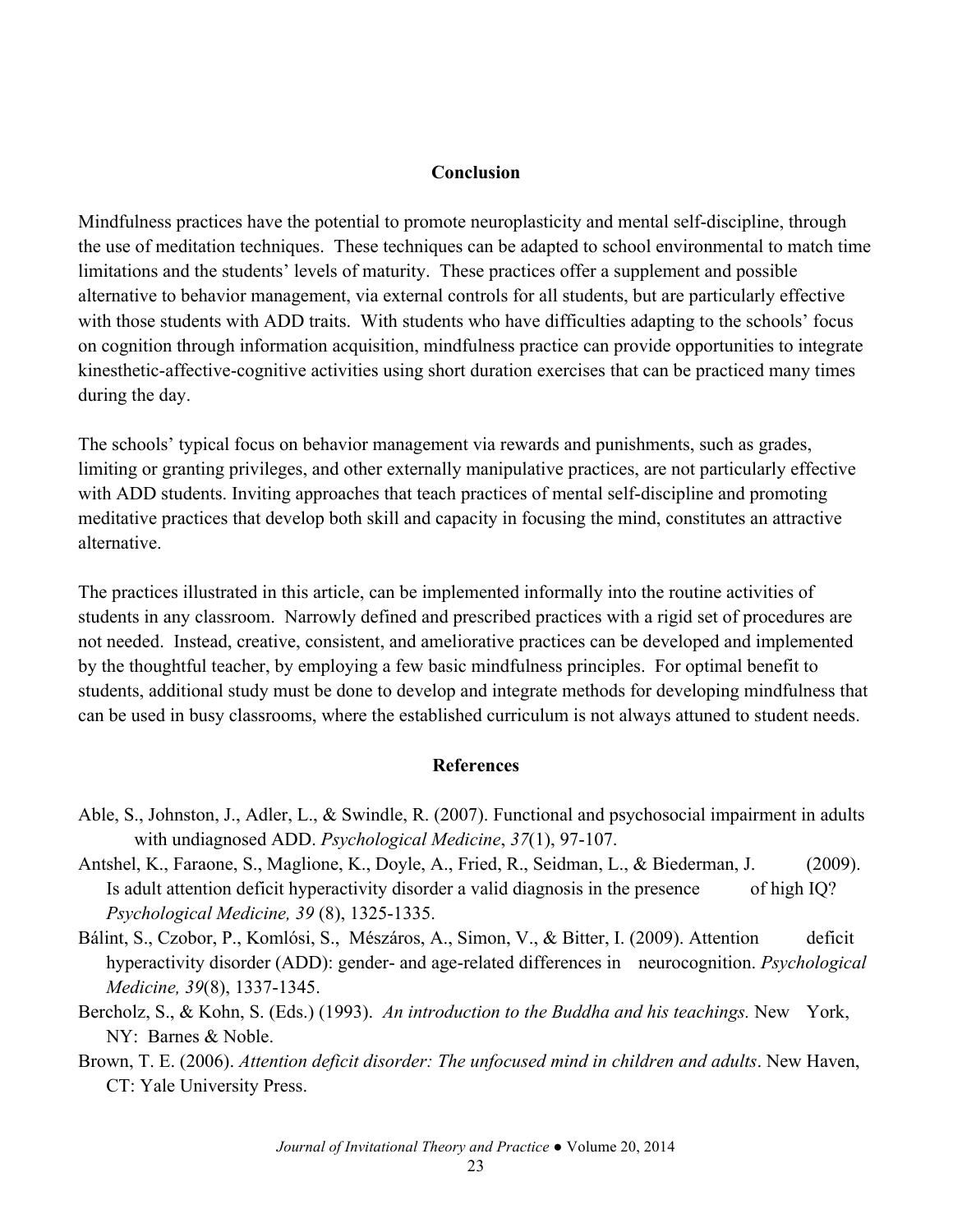#### **Conclusion**

Mindfulness practices have the potential to promote neuroplasticity and mental self-discipline, through the use of meditation techniques. These techniques can be adapted to school environmental to match time limitations and the students' levels of maturity. These practices offer a supplement and possible alternative to behavior management, via external controls for all students, but are particularly effective with those students with ADD traits. With students who have difficulties adapting to the schools' focus on cognition through information acquisition, mindfulness practice can provide opportunities to integrate kinesthetic-affective-cognitive activities using short duration exercises that can be practiced many times during the day.

The schools' typical focus on behavior management via rewards and punishments, such as grades, limiting or granting privileges, and other externally manipulative practices, are not particularly effective with ADD students. Inviting approaches that teach practices of mental self-discipline and promoting meditative practices that develop both skill and capacity in focusing the mind, constitutes an attractive alternative.

The practices illustrated in this article, can be implemented informally into the routine activities of students in any classroom. Narrowly defined and prescribed practices with a rigid set of procedures are not needed. Instead, creative, consistent, and ameliorative practices can be developed and implemented by the thoughtful teacher, by employing a few basic mindfulness principles. For optimal benefit to students, additional study must be done to develop and integrate methods for developing mindfulness that can be used in busy classrooms, where the established curriculum is not always attuned to student needs.

#### **References**

- Able, S., Johnston, J., Adler, L., & Swindle, R. (2007). Functional and psychosocial impairment in adults with undiagnosed ADD. *Psychological Medicine*, *37*(1), 97-107.
- Antshel, K., Faraone, S., Maglione, K., Doyle, A., Fried, R., Seidman, L., & Biederman, J. (2009). Is adult attention deficit hyperactivity disorder a valid diagnosis in the presence of high IQ? *Psychological Medicine, 39* (8), 1325-1335.
- Bálint, S., Czobor, P., Komlósi, S., Mészáros, A., Simon, V., & Bitter, I. (2009). Attention deficit hyperactivity disorder (ADD): gender- and age-related differences in neurocognition. *Psychological Medicine, 39*(8), 1337-1345.
- Bercholz, S., & Kohn, S. (Eds.) (1993). *An introduction to the Buddha and his teachings.* New York, NY: Barnes & Noble.
- Brown, T. E. (2006). *Attention deficit disorder: The unfocused mind in children and adults*. New Haven, CT: Yale University Press.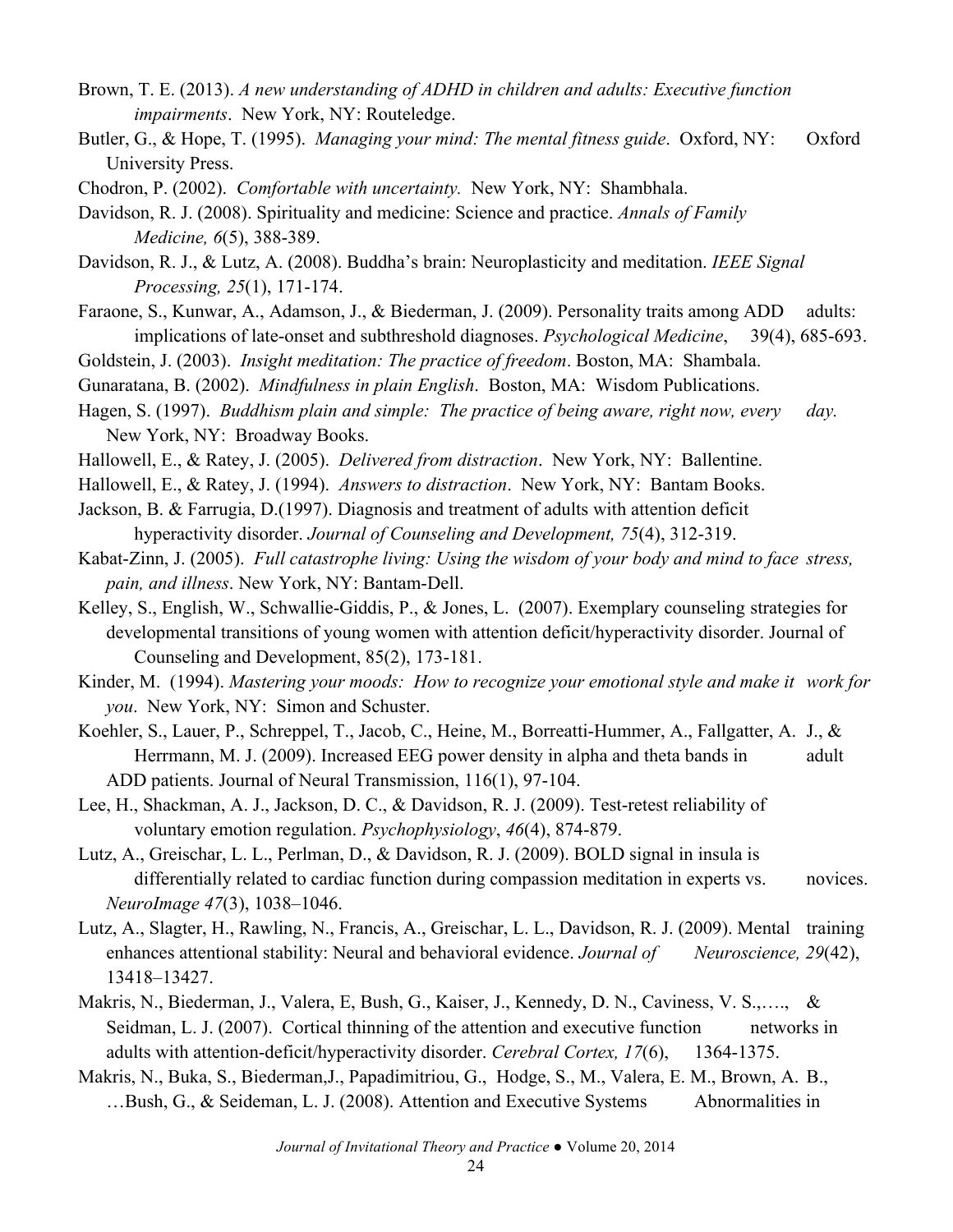- Brown, T. E. (2013). *A new understanding of ADHD in children and adults: Executive function impairments*. New York, NY: Routeledge.
- Butler, G., & Hope, T. (1995). *Managing your mind: The mental fitness guide*. Oxford, NY: Oxford University Press.
- Chodron, P. (2002). *Comfortable with uncertainty.* New York, NY: Shambhala.
- Davidson, R. J. (2008). Spirituality and medicine: Science and practice. *Annals of Family Medicine, 6*(5), 388-389.
- Davidson, R. J., & Lutz, A. (2008). Buddha's brain: Neuroplasticity and meditation. *IEEE Signal Processing, 25*(1), 171-174.
- Faraone, S., Kunwar, A., Adamson, J., & Biederman, J. (2009). Personality traits among ADD adults: implications of late-onset and subthreshold diagnoses. *Psychological Medicine*, 39(4), 685-693.
- Goldstein, J. (2003). *Insight meditation: The practice of freedom*. Boston, MA: Shambala.
- Gunaratana, B. (2002). *Mindfulness in plain English*. Boston, MA: Wisdom Publications.
- Hagen, S. (1997). *Buddhism plain and simple: The practice of being aware, right now, every day.* New York, NY: Broadway Books.
- Hallowell, E., & Ratey, J. (2005). *Delivered from distraction*. New York, NY: Ballentine.
- Hallowell, E., & Ratey, J. (1994). *Answers to distraction*. New York, NY: Bantam Books.
- Jackson, B. & Farrugia, D.(1997). Diagnosis and treatment of adults with attention deficit hyperactivity disorder. *Journal of Counseling and Development, 75*(4), 312-319.
- Kabat-Zinn, J. (2005). *Full catastrophe living: Using the wisdom of your body and mind to face stress, pain, and illness*. New York, NY: Bantam-Dell.
- Kelley, S., English, W., Schwallie-Giddis, P., & Jones, L. (2007). Exemplary counseling strategies for developmental transitions of young women with attention deficit/hyperactivity disorder. Journal of Counseling and Development, 85(2), 173-181.

Kinder, M. (1994). *Mastering your moods: How to recognize your emotional style and make it work for you*. New York, NY: Simon and Schuster.

- Koehler, S., Lauer, P., Schreppel, T., Jacob, C., Heine, M., Borreatti-Hummer, A., Fallgatter, A. J., & Herrmann, M. J. (2009). Increased EEG power density in alpha and theta bands in adult ADD patients. Journal of Neural Transmission, 116(1), 97-104.
- Lee, H., Shackman, A. J., Jackson, D. C., & Davidson, R. J. (2009). Test-retest reliability of voluntary emotion regulation. *Psychophysiology*, *46*(4), 874-879.
- Lutz, A., Greischar, L. L., Perlman, D., & Davidson, R. J. (2009). BOLD signal in insula is differentially related to cardiac function during compassion meditation in experts vs. novices. *NeuroImage 47*(3), 1038–1046.
- Lutz, A., Slagter, H., Rawling, N., Francis, A., Greischar, L. L., Davidson, R. J. (2009). Mental training enhances attentional stability: Neural and behavioral evidence. *Journal of Neuroscience, 29*(42), 13418–13427.
- Makris, N., Biederman, J., Valera, E, Bush, G., Kaiser, J., Kennedy, D. N., Caviness, V. S.,…., & Seidman, L. J. (2007). Cortical thinning of the attention and executive function networks in adults with attention-deficit/hyperactivity disorder. *Cerebral Cortex, 17*(6), 1364-1375.
- Makris, N., Buka, S., Biederman,J., Papadimitriou, G., Hodge, S., M., Valera, E. M., Brown, A. B., ...Bush, G., & Seideman, L. J. (2008). Attention and Executive Systems Abnormalities in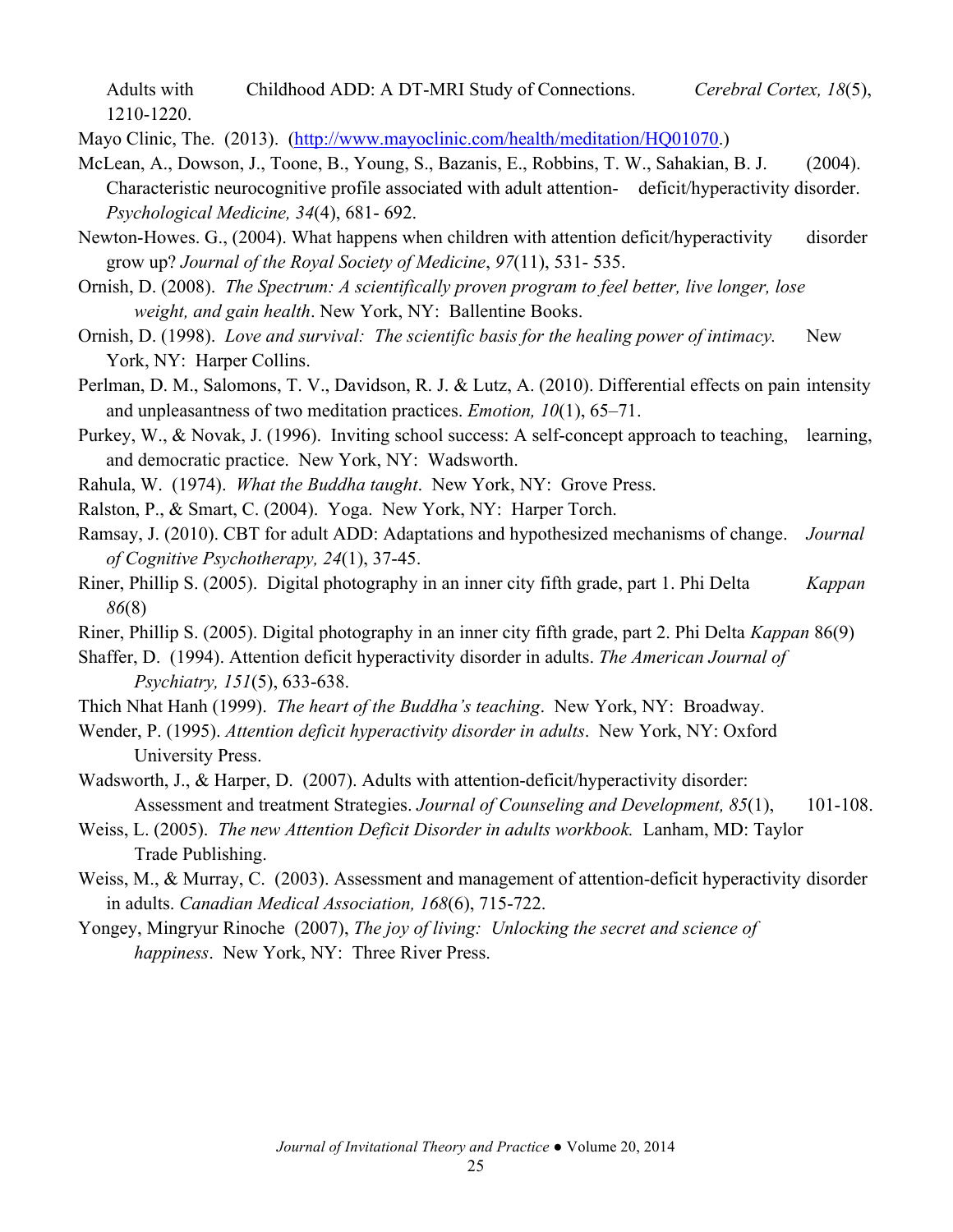Adults with Childhood ADD: A DT-MRI Study of Connections. *Cerebral Cortex, 18*(5), 1210-1220.

Mayo Clinic, The. (2013). (http://www.mayoclinic.com/health/meditation/HQ01070.)

- McLean, A., Dowson, J., Toone, B., Young, S., Bazanis, E., Robbins, T. W., Sahakian, B. J. (2004). Characteristic neurocognitive profile associated with adult attention- deficit/hyperactivity disorder. *Psychological Medicine, 34*(4), 681- 692.
- Newton-Howes. G., (2004). What happens when children with attention deficit/hyperactivity disorder grow up? *Journal of the Royal Society of Medicine*, *97*(11), 531- 535.
- Ornish, D. (2008). *The Spectrum: A scientifically proven program to feel better, live longer, lose weight, and gain health*. New York, NY: Ballentine Books.
- Ornish, D. (1998). *Love and survival: The scientific basis for the healing power of intimacy.* New York, NY: Harper Collins.
- Perlman, D. M., Salomons, T. V., Davidson, R. J. & Lutz, A. (2010). Differential effects on pain intensity and unpleasantness of two meditation practices. *Emotion, 10*(1), 65–71.
- Purkey, W., & Novak, J. (1996). Inviting school success: A self-concept approach to teaching, learning, and democratic practice. New York, NY: Wadsworth.
- Rahula, W. (1974). *What the Buddha taught*. New York, NY: Grove Press.
- Ralston, P., & Smart, C. (2004). Yoga. New York, NY: Harper Torch.
- Ramsay, J. (2010). CBT for adult ADD: Adaptations and hypothesized mechanisms of change. *Journal of Cognitive Psychotherapy, 24*(1), 37-45.
- Riner, Phillip S. (2005). Digital photography in an inner city fifth grade, part 1. Phi Delta *Kappan 86*(8)
- Riner, Phillip S. (2005). Digital photography in an inner city fifth grade, part 2. Phi Delta *Kappan* 86(9)
- Shaffer, D. (1994). Attention deficit hyperactivity disorder in adults. *The American Journal of Psychiatry, 151*(5), 633-638.
- Thich Nhat Hanh (1999). *The heart of the Buddha's teaching*. New York, NY: Broadway.
- Wender, P. (1995). *Attention deficit hyperactivity disorder in adults*. New York, NY: Oxford University Press.
- Wadsworth, J., & Harper, D. (2007). Adults with attention-deficit/hyperactivity disorder: Assessment and treatment Strategies. *Journal of Counseling and Development, 85*(1), 101-108.
- Weiss, L. (2005). *The new Attention Deficit Disorder in adults workbook.* Lanham, MD: Taylor Trade Publishing.
- Weiss, M., & Murray, C. (2003). Assessment and management of attention-deficit hyperactivity disorder in adults. *Canadian Medical Association, 168*(6), 715-722.
- Yongey, Mingryur Rinoche (2007), *The joy of living: Unlocking the secret and science of happiness*. New York, NY: Three River Press.